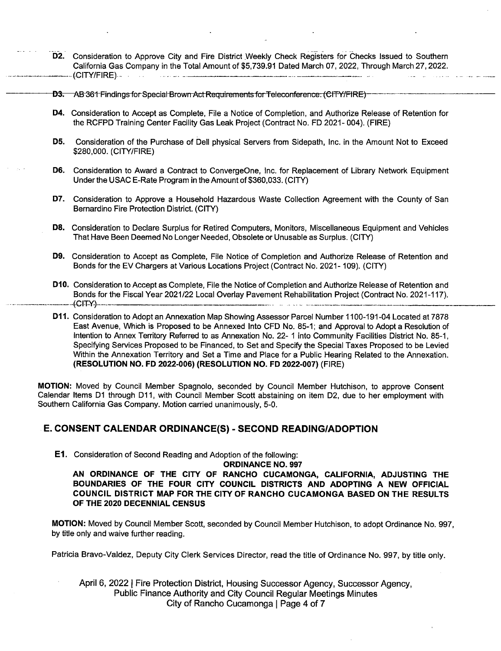- D2. Consideration to Approve City and Fire District Weekly Check Registers for Checks Issued to Southern California Gas Company in the Total Amount of \$5,739.91 Dated March 07, 2022, Through March 27, 2022. CITY/ FIRE)-\_ -
- **D3.** AB-361- Findings-for Special-Brown Act Requirements for Teleconference. (CITY/FIRE)
- D4. Consideration to Accept as Complete, File a Notice of Completion, and Authorize Release of Retention for the RCFPD Training Center Facility Gas Leak Project( Contract No. FD 2021- 004). ( FIRE)
- D5. Consideration of the Purchase of Dell physical Servers from Sidepath, Inc. in the Amount Not to Exceed \$280,000. ( CITY/ FIRE )
- D6. Consideration to Award a Contract to ConvergeOne, Inc. for Replacement of Library Network Equipment Under the USAC E-Rate Program in the Amount of \$360,033. (CITY)
- D7. Consideration to Approve <sup>a</sup> Household Hazardous Waste Collection Agreement with the County of San Bernardino Fire Protection District.( CITY)
- D8. Consideration to Declare Surplus for Retired Computers, Monitors, Miscellaneous Equipment and Vehicles That Have Been Deemed No Longer Needed, Obsolete or Unusable as Surplus. ( CITY)
- D9. Consideration to Accept as Complete, File Notice of Completion and Authorize Release of Retention and Bonds for the EV Chargers at Various Locations Project( Contract No. 2021- 109). ( CITY)
- D10. Consideration to Accept as Complete, File the Notice of Completion and Authorize Release of Retention and Bonds for the Fiscal Year 2021/22 Local Overlay Pavement Rehabilitation Project (Contract No. 2021-117).<br>(CITY)  $(CITY)$ -----
- D11. Consideration to Adopt an Annexation Map Showing Assessor Parcel Number 1100-191-04 Located at 7878 East Avenue, Which is Proposed to be Annexed Into CFD No. 85- 1; and Approval to Adopt a Resolution of Intention to Annex Territory Referred to as Annexation No. 22- 1 into Community Facilities District No. 85-1, Specifying Services Proposed to be Financed, to Set and Specify the Special Taxes Proposed to be Levied Within the Annexation Territory and Set a Time and Place for a Public Hearing Related to the Annexation. (RESOLUTION NO. FD 2022-006) (RESOLUTION NO. FD 2022-007) (FIRE)

MOTION: Moved by Council Member Spagnolo, seconded by Council Member Hutchison, to approve Consent Calendar Items D1 through D11, with Council Member Scott abstaining on item D2, due to her employment with Southern California Gas Company. Motion carried unanimously, 5-0.

# E. CONSENT CALENDAR ORDINANCE(S) - SECOND READING/ADOPTION

E1. Consideration of Second Reading and Adoption of the following:

ORDINANCE NO. 997 AN ORDINANCE OF THE CITY OF RANCHO CUCAMONGA, CALIFORNIA, ADJUSTING THE BOUNDARIES OF THE FOUR CITY COUNCIL DISTRICTS AND ADOPTING A NEW OFFICIAL COUNCIL DISTRICT MAP FOR THE CITY OF RANCHO CUCAMONGA BASED ON THE RESULTS OF THE 2020 DECENNIAL CENSUS

MOTION: Moved by Council Member Scott, seconded by Council Member Hutchison, to adopt Ordinance No. 997, by title only and waive further reading.

Patricia Bravo-Valdez, Deputy City Clerk Services Director, read the title of Ordinance No. 997, by title only.

April 6, 2022 <sup>I</sup> Fire Protection District, Housing Successor Agency, Successor Agency, Public Finance Authority and City Council Regular Meetings Minutes City of Rancho Cucamonga | Page 4 of 7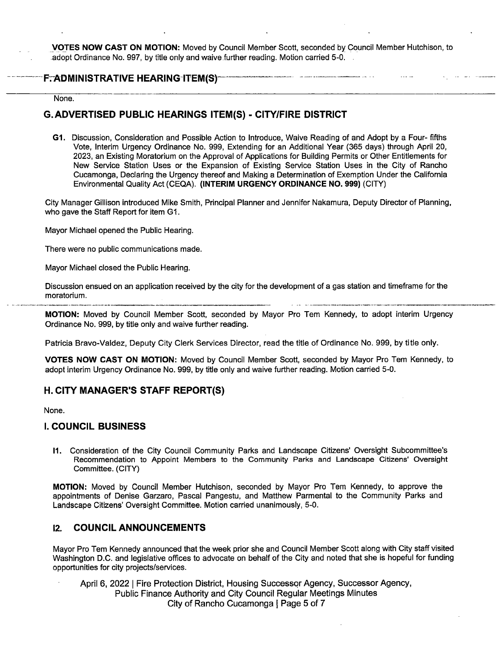VOTES NOW CAST ON MOTION: Moved by Council Member Scott, seconded by Council Member Hutchison, to adopt Ordinance No. 997, by title only and waive further reading. Motion carried 5-0.

#### FTADMINISTRATIVE HEARING ITEM(S)

None.

# G. ADVERTISED PUBLIC HEARINGS ITEM(S) - CITY/FIRE DISTRICT

G1. Discussion, Consideration and Possible Action to Introduce, Waive Reading of and Adopt by a Four- fifths Vote, Interim Urgency Ordinance No. 999, Extending for an Additional Year ( 365 days) through April 20, 2023, an Existing Moratorium on the Approval of Applications for Building Permits or Other Entitlements for New Service Station Uses or the Expansion of Existing Service Station Uses in the City of Rancho Cucamonga, Declaring the Urgency thereof and Making a Determination of Exemption Under the California Environmental Quality Act( CEQA). ( INTERIM URGENCY ORDINANCE NO. 999) ( CITY)

City Manager Gillison introduced Mike Smith, Principal Planner and Jennifer Nakamura, Deputy Director of Planning, who gave the Staff Report for item G1.

Mayor Michael opened the Public Hearing.

There were no public communications made.

Mayor Michael closed the Public Hearing.

Discussion ensued on an application received by the city for the development of a gas station and timeframe for the moratorium.

MOTION: Moved by Council Member Scott, seconded by Mayor Pro Tem Kennedy, to adopt interim Urgency Ordinance No. 999, by title only and waive further reading.

Patricia Bravo- Valdez, Deputy City Clerk Services Director, read the title of Ordinance No. 999, by title only.

VOTES NOW CAST ON MOTION: Moved by Council Member Scott, seconded by Mayor Pro Tem Kennedy, to adopt interim Urgency Ordinance No. 999, by title only and waive further reading. Motion carried 5-0.

## H. CITY MANAGER'S STAFF REPORT(S)

None.

## I. COUNCIL BUSINESS

11. Consideration of the City Council Community Parks and Landscape Citizens' Oversight Subcommittee' s Recommendation to Appoint Members to the Community Parks and Landscape Citizens' Oversight Committee. (CITY)

MOTION: Moved by Council Member Hutchison, seconded by Mayor Pro Tern Kennedy, to approve the appointments of Denise Garzaro, Pascal Pangestu, and Matthew Parmental to the Community Parks and Landscape Citizens' Oversight Committee. Motion carried unanimously, 5-0.

## 12. COUNCIL ANNOUNCEMENTS

Mayor Pro Tem Kennedy announced that the week prior she and Council Member Scott along with City staff visited Washington D.C. and legislative offices to advocate on behalf of the City and noted that she is hopeful for funding opportunities for city projects/services.

April 6, 2022 | Fire Protection District, Housing Successor Agency, Successor Agency, Public Finance Authority and City Council Regular Meetings Minutes City of Rancho Cucamonga | Page 5 of 7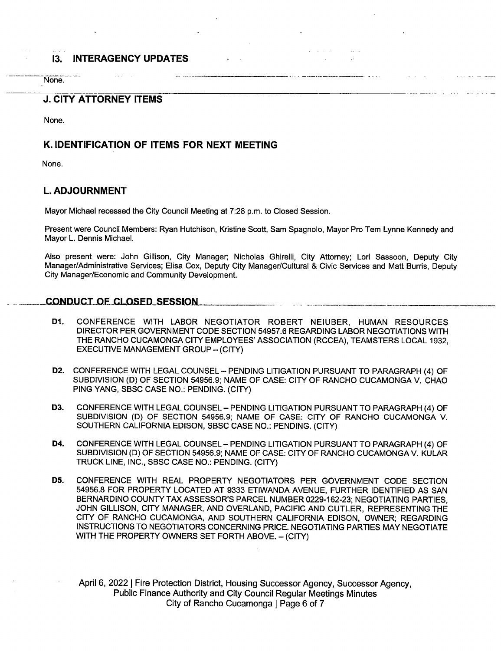# I3. INTERAGENCY UPDATES

None.

## J. CITY ATTORNEY ITEMS

None.

# K. IDENTIFICATION OF ITEMS FOR NEXT MEETING

None.

# L. ADJOURNMENT

Mayor Michael recessed the City Council Meeting at 7:28 p.m. to Closed Session.

Present were Council Members: Ryan Hutchison, Kristine Scott, Sam Spagnolo, Mayor Pro Tem Lynne Kennedy and Mayor L. Dennis Michael.

Also present were: John Gillison, City Manager; Nicholas Ghirelli, City Attorney; Lori Sassoon, Deputy City Manager/Administrative Services; Elisa Cox, Deputy City Manager/Cultural & Civic Services and Matt Burris, Deputy City Manager/Economic and Community Development.

## CONDUCT OF CLOSED SESSION

- D1. CONFERENCE WITH LABOR NEGOTIATOR ROBERT NEIUBER, HUMAN RESOURCES DIRECTOR PER GOVERNMENT CODE SECTION 54957. 6 REGARDING LABOR NEGOTIATIONS WITH THE RANCHO CUCAMONGA CITY EMPLOYEES' ASSOCIATION ( RCCEA), TEAMSTERS LOCAL 1932, EXECUTIVE MANAGEMENT GROUP - (CITY)
- D2. CONFERENCE WITH LEGAL COUNSEL— PENDING LITIGATION PURSUANT TO PARAGRAPH ( 4) OF SUBDIVISION (D) OF SECTION 54956.9: NAME OF CASE: CITY OF RANCHO CUCAMONGA V. CHAO PING YANG, SBSC CASE NO.: PENDING. (CITY)
- D3. CONFERENCE WITH LEGAL COUNSEL PENDING LITIGATION PURSUANT TO PARAGRAPH (4) OF SUBDIVISION (D) OF SECTION 54956.9; NAME OF CASE: CITY OF RANCHO CUCAMONGA V. SOUTHERN CALIFORNIA EDISON, SBSC CASE NO.: PENDING. ( CITY)
- D4. CONFERENCE WITH LEGAL COUNSEL PENDING LITIGATION PURSUANT TO PARAGRAPH (4) OF SUBDIVISION (D) OF SECTION 54956.9; NAME OF CASE: CITY OF RANCHO CUCAMONGA V. KULAR TRUCK LINE, INC., SBSC CASE NO.: PENDING. ( CITY)
- D5. CONFERENCE WITH REAL PROPERTY NEGOTIATORS PER GOVERNMENT CODE SECTION 54956. 8 FOR PROPERTY LOCATED AT 9333 ETIWANDA AVENUE, FURTHER IDENTIFIED AS SAN BERNARDINO COUNTY TAX ASSESSOR'S PARCEL NUMBER 0229-162-23; NEGOTIATING PARTIES, JOHN GILLISON, CITY MANAGER, AND OVERLAND, PACIFIC AND CUTLER, REPRESENTING THE CITY OF RANCHO CUCAMONGA, AND SOUTHERN CALIFORNIA EDISON, OWNER; REGARDING INSTRUCTIONS TO NEGOTIATORS CONCERNING PRICE. NEGOTIATING PARTIES MAY NEGOTIATE WITH THE PROPERTY OWNERS SET FORTH ABOVE. - (CITY)

April 6, 2022 <sup>I</sup> Fire Protection District, Housing Successor Agency, Successor Agency, Public Finance Authority and City Council Regular Meetings Minutes City of Rancho Cucamonga <sup>I</sup> Page <sup>6</sup> of 7